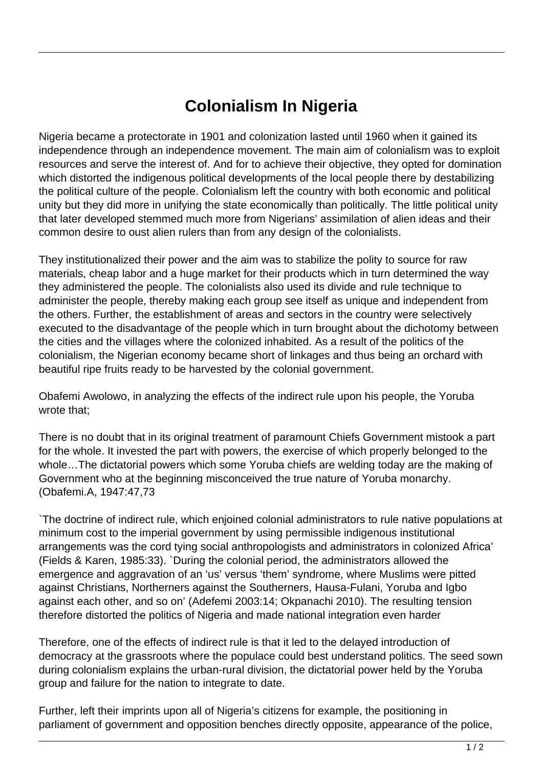## **Colonialism In Nigeria**

Nigeria became a protectorate in 1901 and colonization lasted until 1960 when it gained its independence through an independence movement. The main aim of colonialism was to exploit resources and serve the interest of. And for to achieve their objective, they opted for domination which distorted the indigenous political developments of the local people there by destabilizing the political culture of the people. Colonialism left the country with both economic and political unity but they did more in unifying the state economically than politically. The little political unity that later developed stemmed much more from Nigerians' assimilation of alien ideas and their common desire to oust alien rulers than from any design of the colonialists.

They institutionalized their power and the aim was to stabilize the polity to source for raw materials, cheap labor and a huge market for their products which in turn determined the way they administered the people. The colonialists also used its divide and rule technique to administer the people, thereby making each group see itself as unique and independent from the others. Further, the establishment of areas and sectors in the country were selectively executed to the disadvantage of the people which in turn brought about the dichotomy between the cities and the villages where the colonized inhabited. As a result of the politics of the colonialism, the Nigerian economy became short of linkages and thus being an orchard with beautiful ripe fruits ready to be harvested by the colonial government.

Obafemi Awolowo, in analyzing the effects of the indirect rule upon his people, the Yoruba wrote that;

There is no doubt that in its original treatment of paramount Chiefs Government mistook a part for the whole. It invested the part with powers, the exercise of which properly belonged to the whole…The dictatorial powers which some Yoruba chiefs are welding today are the making of Government who at the beginning misconceived the true nature of Yoruba monarchy. (Obafemi.A, 1947:47,73

`The doctrine of indirect rule, which enjoined colonial administrators to rule native populations at minimum cost to the imperial government by using permissible indigenous institutional arrangements was the cord tying social anthropologists and administrators in colonized Africa' (Fields & Karen, 1985:33). `During the colonial period, the administrators allowed the emergence and aggravation of an 'us' versus 'them' syndrome, where Muslims were pitted against Christians, Northerners against the Southerners, Hausa-Fulani, Yoruba and Igbo against each other, and so on' (Adefemi 2003:14; Okpanachi 2010). The resulting tension therefore distorted the politics of Nigeria and made national integration even harder

Therefore, one of the effects of indirect rule is that it led to the delayed introduction of democracy at the grassroots where the populace could best understand politics. The seed sown during colonialism explains the urban-rural division, the dictatorial power held by the Yoruba group and failure for the nation to integrate to date.

Further, left their imprints upon all of Nigeria's citizens for example, the positioning in parliament of government and opposition benches directly opposite, appearance of the police,